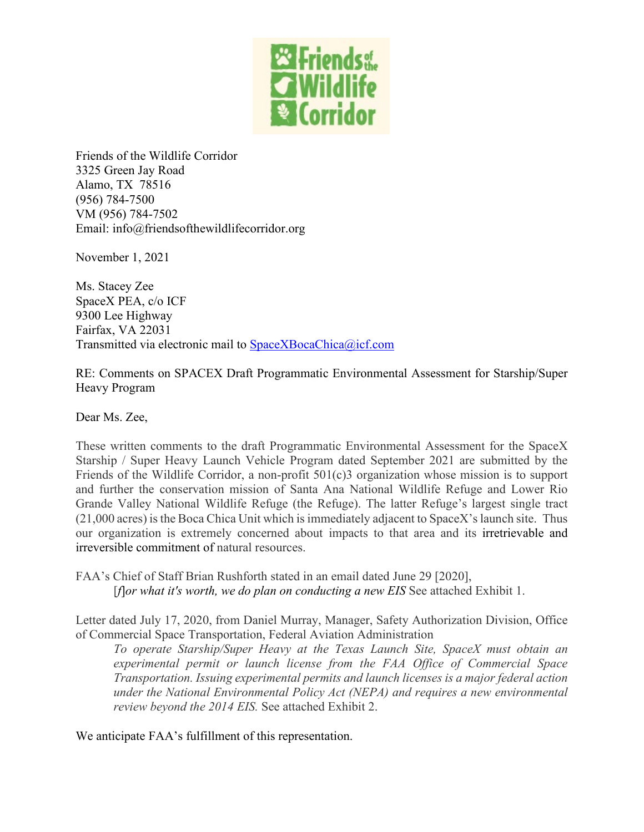

Friends of the Wildlife Corridor 3325 Green Jay Road Alamo, TX 78516 (956) 784-7500 VM (956) 784-7502 Email: info@friendsofthewildlifecorridor.org

November 1, 2021

Ms. Stacey Zee SpaceX PEA, c/o ICF 9300 Lee Highway Fairfax, VA 22031 Transmitted via electronic mail to [SpaceXBocaChica@icf.com](mailto:SpaceXBocaChica@icf.com)

RE: Comments on SPACEX Draft Programmatic Environmental Assessment for Starship/Super Heavy Program

Dear Ms. Zee,

These written comments to the draft Programmatic Environmental Assessment for the SpaceX Starship / Super Heavy Launch Vehicle Program dated September 2021 are submitted by the Friends of the Wildlife Corridor, a non-profit 501(c)3 organization whose mission is to support and further the conservation mission of Santa Ana National Wildlife Refuge and Lower Rio Grande Valley National Wildlife Refuge (the Refuge). The latter Refuge's largest single tract (21,000 acres) is the Boca Chica Unit which is immediately adjacent to SpaceX's launch site. Thus our organization is extremely concerned about impacts to that area and its irretrievable and irreversible commitment of natural resources.

FAA's Chief of Staff Brian Rushforth stated in an email dated June 29 [2020], [*f*]*or what it's worth, we do plan on conducting a new EIS* See attached Exhibit 1.

Letter dated July 17, 2020, from Daniel Murray, Manager, Safety Authorization Division, Office of Commercial Space Transportation, Federal Aviation Administration

*To operate Starship/Super Heavy at the Texas Launch Site, SpaceX must obtain an experimental permit or launch license from the FAA Office of Commercial Space Transportation. Issuing experimental permits and launch licenses is a major federal action under the National Environmental Policy Act (NEPA) and requires a new environmental review beyond the 2014 EIS.* See attached Exhibit 2.

We anticipate FAA's fulfillment of this representation.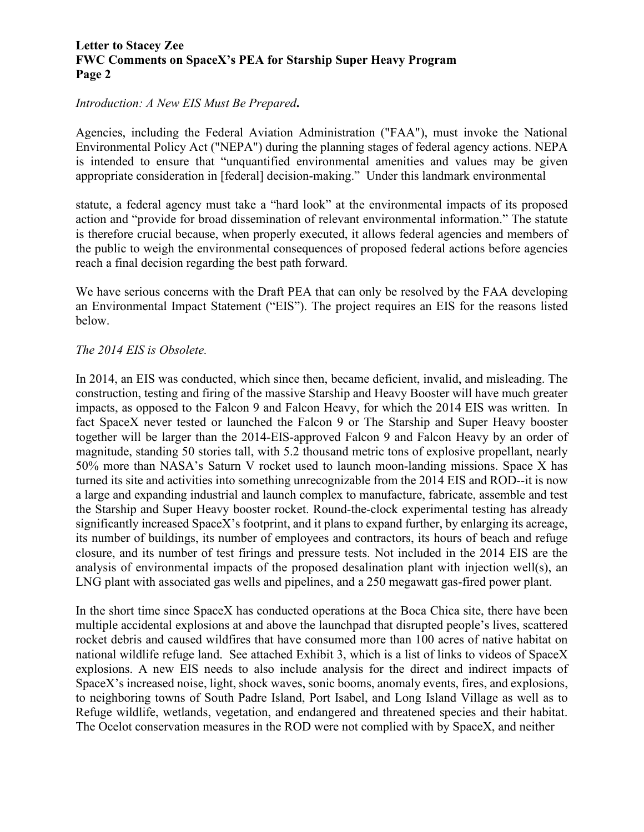#### *Introduction: A New EIS Must Be Prepared***.**

Agencies, including the Federal Aviation Administration ("FAA"), must invoke the National Environmental Policy Act ("NEPA") during the planning stages of federal agency actions. NEPA is intended to ensure that "unquantified environmental amenities and values may be given appropriate consideration in [federal] decision-making." Under this landmark environmental

statute, a federal agency must take a "hard look" at the environmental impacts of its proposed action and "provide for broad dissemination of relevant environmental information." The statute is therefore crucial because, when properly executed, it allows federal agencies and members of the public to weigh the environmental consequences of proposed federal actions before agencies reach a final decision regarding the best path forward.

We have serious concerns with the Draft PEA that can only be resolved by the FAA developing an Environmental Impact Statement ("EIS"). The project requires an EIS for the reasons listed below.

#### *The 2014 EIS is Obsolete.*

In 2014, an EIS was conducted, which since then, became deficient, invalid, and misleading. The construction, testing and firing of the massive Starship and Heavy Booster will have much greater impacts, as opposed to the Falcon 9 and Falcon Heavy, for which the 2014 EIS was written. In fact SpaceX never tested or launched the Falcon 9 or The Starship and Super Heavy booster together will be larger than the 2014-EIS-approved Falcon 9 and Falcon Heavy by an order of magnitude, standing 50 stories tall, with 5.2 thousand metric tons of explosive propellant, nearly 50% more than NASA's Saturn V rocket used to launch moon-landing missions. Space X has turned its site and activities into something unrecognizable from the 2014 EIS and ROD--it is now a large and expanding industrial and launch complex to manufacture, fabricate, assemble and test the Starship and Super Heavy booster rocket. Round-the-clock experimental testing has already significantly increased SpaceX's footprint, and it plans to expand further, by enlarging its acreage, its number of buildings, its number of employees and contractors, its hours of beach and refuge closure, and its number of test firings and pressure tests. Not included in the 2014 EIS are the analysis of environmental impacts of the proposed desalination plant with injection well(s), an LNG plant with associated gas wells and pipelines, and a 250 megawatt gas-fired power plant.

In the short time since SpaceX has conducted operations at the Boca Chica site, there have been multiple accidental explosions at and above the launchpad that disrupted people's lives, scattered rocket debris and caused wildfires that have consumed more than 100 acres of native habitat on national wildlife refuge land. See attached Exhibit 3, which is a list of links to videos of SpaceX explosions. A new EIS needs to also include analysis for the direct and indirect impacts of SpaceX's increased noise, light, shock waves, sonic booms, anomaly events, fires, and explosions, to neighboring towns of South Padre Island, Port Isabel, and Long Island Village as well as to Refuge wildlife, wetlands, vegetation, and endangered and threatened species and their habitat. The Ocelot conservation measures in the ROD were not complied with by SpaceX, and neither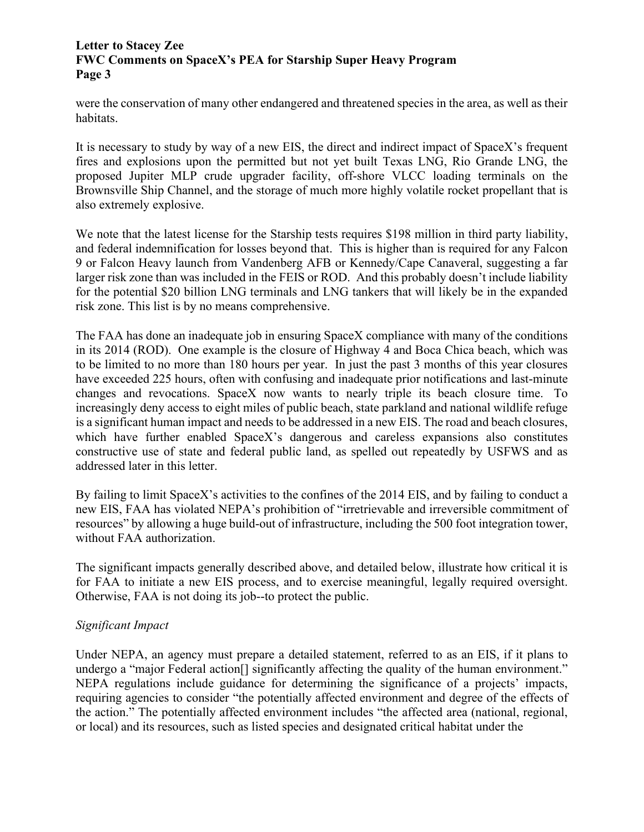were the conservation of many other endangered and threatened species in the area, as well as their habitats.

It is necessary to study by way of a new EIS, the direct and indirect impact of SpaceX's frequent fires and explosions upon the permitted but not yet built Texas LNG, Rio Grande LNG, the proposed Jupiter MLP crude upgrader facility, off-shore VLCC loading terminals on the Brownsville Ship Channel, and the storage of much more highly volatile rocket propellant that is also extremely explosive.

We note that the latest license for the Starship tests requires \$198 million in third party liability, and federal indemnification for losses beyond that. This is higher than is required for any Falcon 9 or Falcon Heavy launch from Vandenberg AFB or Kennedy/Cape Canaveral, suggesting a far larger risk zone than was included in the FEIS or ROD. And this probably doesn't include liability for the potential \$20 billion LNG terminals and LNG tankers that will likely be in the expanded risk zone. This list is by no means comprehensive.

The FAA has done an inadequate job in ensuring SpaceX compliance with many of the conditions in its 2014 (ROD). One example is the closure of Highway 4 and Boca Chica beach, which was to be limited to no more than 180 hours per year. In just the past 3 months of this year closures have exceeded 225 hours, often with confusing and inadequate prior notifications and last-minute changes and revocations. SpaceX now wants to nearly triple its beach closure time. To increasingly deny access to eight miles of public beach, state parkland and national wildlife refuge is a significant human impact and needs to be addressed in a new EIS. The road and beach closures, which have further enabled SpaceX's dangerous and careless expansions also constitutes constructive use of state and federal public land, as spelled out repeatedly by USFWS and as addressed later in this letter.

By failing to limit SpaceX's activities to the confines of the 2014 EIS, and by failing to conduct a new EIS, FAA has violated NEPA's prohibition of "irretrievable and irreversible commitment of resources" by allowing a huge build-out of infrastructure, including the 500 foot integration tower, without FAA authorization.

The significant impacts generally described above, and detailed below, illustrate how critical it is for FAA to initiate a new EIS process, and to exercise meaningful, legally required oversight. Otherwise, FAA is not doing its job--to protect the public.

## *Significant Impact*

Under NEPA, an agency must prepare a detailed statement, referred to as an EIS, if it plans to undergo a "major Federal action<sup>[]</sup> significantly affecting the quality of the human environment." NEPA regulations include guidance for determining the significance of a projects' impacts, requiring agencies to consider "the potentially affected environment and degree of the effects of the action." The potentially affected environment includes "the affected area (national, regional, or local) and its resources, such as listed species and designated critical habitat under the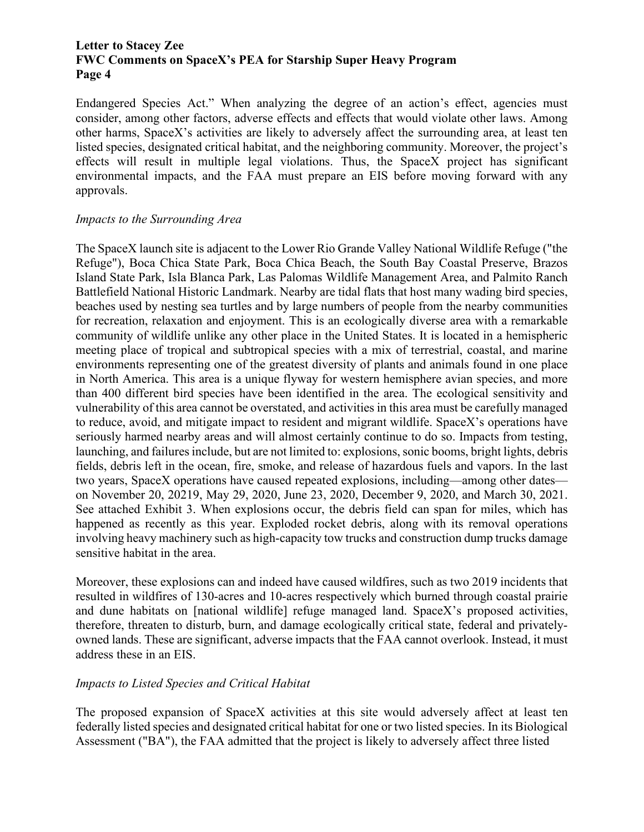Endangered Species Act." When analyzing the degree of an action's effect, agencies must consider, among other factors, adverse effects and effects that would violate other laws. Among other harms, SpaceX's activities are likely to adversely affect the surrounding area, at least ten listed species, designated critical habitat, and the neighboring community. Moreover, the project's effects will result in multiple legal violations. Thus, the SpaceX project has significant environmental impacts, and the FAA must prepare an EIS before moving forward with any approvals.

#### *Impacts to the Surrounding Area*

The SpaceX launch site is adjacent to the Lower Rio Grande Valley National Wildlife Refuge ("the Refuge"), Boca Chica State Park, Boca Chica Beach, the South Bay Coastal Preserve, Brazos Island State Park, Isla Blanca Park, Las Palomas Wildlife Management Area, and Palmito Ranch Battlefield National Historic Landmark. Nearby are tidal flats that host many wading bird species, beaches used by nesting sea turtles and by large numbers of people from the nearby communities for recreation, relaxation and enjoyment. This is an ecologically diverse area with a remarkable community of wildlife unlike any other place in the United States. It is located in a hemispheric meeting place of tropical and subtropical species with a mix of terrestrial, coastal, and marine environments representing one of the greatest diversity of plants and animals found in one place in North America. This area is a unique flyway for western hemisphere avian species, and more than 400 different bird species have been identified in the area. The ecological sensitivity and vulnerability of this area cannot be overstated, and activities in this area must be carefully managed to reduce, avoid, and mitigate impact to resident and migrant wildlife. SpaceX's operations have seriously harmed nearby areas and will almost certainly continue to do so. Impacts from testing, launching, and failures include, but are not limited to: explosions, sonic booms, bright lights, debris fields, debris left in the ocean, fire, smoke, and release of hazardous fuels and vapors. In the last two years, SpaceX operations have caused repeated explosions, including—among other dates on November 20, 20219, May 29, 2020, June 23, 2020, December 9, 2020, and March 30, 2021. See attached Exhibit 3. When explosions occur, the debris field can span for miles, which has happened as recently as this year. Exploded rocket debris, along with its removal operations involving heavy machinery such as high-capacity tow trucks and construction dump trucks damage sensitive habitat in the area.

Moreover, these explosions can and indeed have caused wildfires, such as two 2019 incidents that resulted in wildfires of 130-acres and 10-acres respectively which burned through coastal prairie and dune habitats on [national wildlife] refuge managed land. SpaceX's proposed activities, therefore, threaten to disturb, burn, and damage ecologically critical state, federal and privatelyowned lands. These are significant, adverse impacts that the FAA cannot overlook. Instead, it must address these in an EIS.

## *Impacts to Listed Species and Critical Habitat*

The proposed expansion of SpaceX activities at this site would adversely affect at least ten federally listed species and designated critical habitat for one or two listed species. In its Biological Assessment ("BA"), the FAA admitted that the project is likely to adversely affect three listed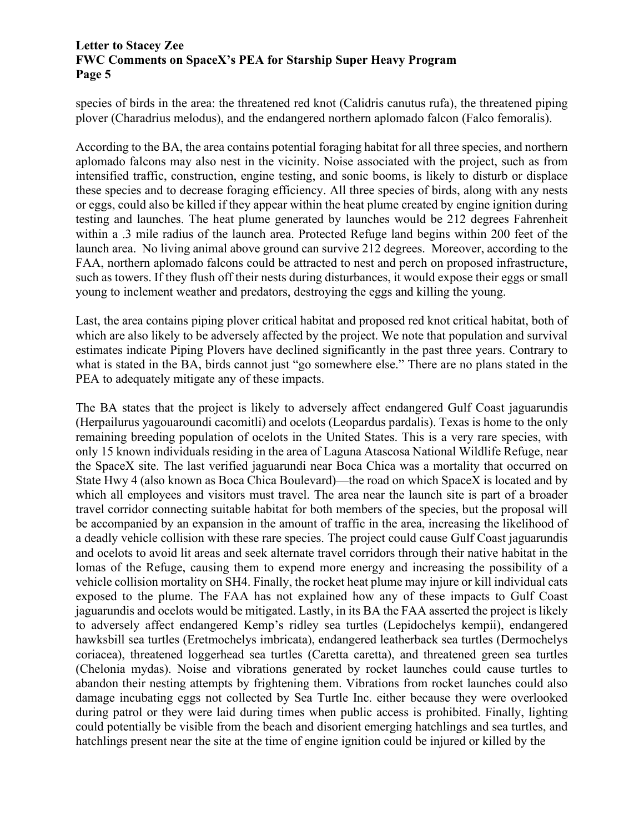species of birds in the area: the threatened red knot (Calidris canutus rufa), the threatened piping plover (Charadrius melodus), and the endangered northern aplomado falcon (Falco femoralis).

According to the BA, the area contains potential foraging habitat for all three species, and northern aplomado falcons may also nest in the vicinity. Noise associated with the project, such as from intensified traffic, construction, engine testing, and sonic booms, is likely to disturb or displace these species and to decrease foraging efficiency. All three species of birds, along with any nests or eggs, could also be killed if they appear within the heat plume created by engine ignition during testing and launches. The heat plume generated by launches would be 212 degrees Fahrenheit within a .3 mile radius of the launch area. Protected Refuge land begins within 200 feet of the launch area. No living animal above ground can survive 212 degrees. Moreover, according to the FAA, northern aplomado falcons could be attracted to nest and perch on proposed infrastructure, such as towers. If they flush off their nests during disturbances, it would expose their eggs or small young to inclement weather and predators, destroying the eggs and killing the young.

Last, the area contains piping plover critical habitat and proposed red knot critical habitat, both of which are also likely to be adversely affected by the project. We note that population and survival estimates indicate Piping Plovers have declined significantly in the past three years. Contrary to what is stated in the BA, birds cannot just "go somewhere else." There are no plans stated in the PEA to adequately mitigate any of these impacts.

The BA states that the project is likely to adversely affect endangered Gulf Coast jaguarundis (Herpailurus yagouaroundi cacomitli) and ocelots (Leopardus pardalis). Texas is home to the only remaining breeding population of ocelots in the United States. This is a very rare species, with only 15 known individuals residing in the area of Laguna Atascosa National Wildlife Refuge, near the SpaceX site. The last verified jaguarundi near Boca Chica was a mortality that occurred on State Hwy 4 (also known as Boca Chica Boulevard)—the road on which SpaceX is located and by which all employees and visitors must travel. The area near the launch site is part of a broader travel corridor connecting suitable habitat for both members of the species, but the proposal will be accompanied by an expansion in the amount of traffic in the area, increasing the likelihood of a deadly vehicle collision with these rare species. The project could cause Gulf Coast jaguarundis and ocelots to avoid lit areas and seek alternate travel corridors through their native habitat in the lomas of the Refuge, causing them to expend more energy and increasing the possibility of a vehicle collision mortality on SH4. Finally, the rocket heat plume may injure or kill individual cats exposed to the plume. The FAA has not explained how any of these impacts to Gulf Coast jaguarundis and ocelots would be mitigated. Lastly, in its BA the FAA asserted the project is likely to adversely affect endangered Kemp's ridley sea turtles (Lepidochelys kempii), endangered hawksbill sea turtles (Eretmochelys imbricata), endangered leatherback sea turtles (Dermochelys coriacea), threatened loggerhead sea turtles (Caretta caretta), and threatened green sea turtles (Chelonia mydas). Noise and vibrations generated by rocket launches could cause turtles to abandon their nesting attempts by frightening them. Vibrations from rocket launches could also damage incubating eggs not collected by Sea Turtle Inc. either because they were overlooked during patrol or they were laid during times when public access is prohibited. Finally, lighting could potentially be visible from the beach and disorient emerging hatchlings and sea turtles, and hatchlings present near the site at the time of engine ignition could be injured or killed by the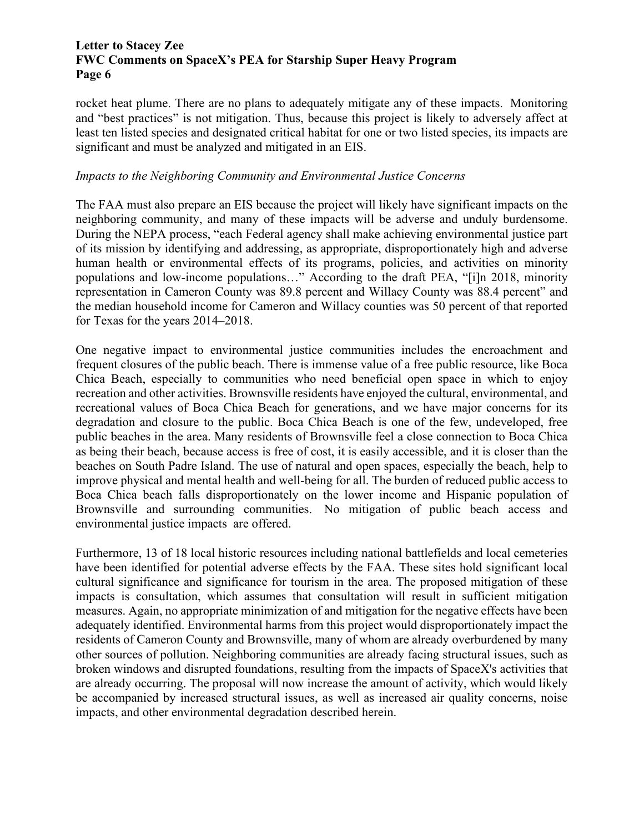rocket heat plume. There are no plans to adequately mitigate any of these impacts. Monitoring and "best practices" is not mitigation. Thus, because this project is likely to adversely affect at least ten listed species and designated critical habitat for one or two listed species, its impacts are significant and must be analyzed and mitigated in an EIS.

#### *Impacts to the Neighboring Community and Environmental Justice Concerns*

The FAA must also prepare an EIS because the project will likely have significant impacts on the neighboring community, and many of these impacts will be adverse and unduly burdensome. During the NEPA process, "each Federal agency shall make achieving environmental justice part of its mission by identifying and addressing, as appropriate, disproportionately high and adverse human health or environmental effects of its programs, policies, and activities on minority populations and low-income populations…" According to the draft PEA, "[i]n 2018, minority representation in Cameron County was 89.8 percent and Willacy County was 88.4 percent" and the median household income for Cameron and Willacy counties was 50 percent of that reported for Texas for the years 2014–2018.

One negative impact to environmental justice communities includes the encroachment and frequent closures of the public beach. There is immense value of a free public resource, like Boca Chica Beach, especially to communities who need beneficial open space in which to enjoy recreation and other activities. Brownsville residents have enjoyed the cultural, environmental, and recreational values of Boca Chica Beach for generations, and we have major concerns for its degradation and closure to the public. Boca Chica Beach is one of the few, undeveloped, free public beaches in the area. Many residents of Brownsville feel a close connection to Boca Chica as being their beach, because access is free of cost, it is easily accessible, and it is closer than the beaches on South Padre Island. The use of natural and open spaces, especially the beach, help to improve physical and mental health and well-being for all. The burden of reduced public access to Boca Chica beach falls disproportionately on the lower income and Hispanic population of Brownsville and surrounding communities. No mitigation of public beach access and environmental justice impacts are offered.

Furthermore, 13 of 18 local historic resources including national battlefields and local cemeteries have been identified for potential adverse effects by the FAA. These sites hold significant local cultural significance and significance for tourism in the area. The proposed mitigation of these impacts is consultation, which assumes that consultation will result in sufficient mitigation measures. Again, no appropriate minimization of and mitigation for the negative effects have been adequately identified. Environmental harms from this project would disproportionately impact the residents of Cameron County and Brownsville, many of whom are already overburdened by many other sources of pollution. Neighboring communities are already facing structural issues, such as broken windows and disrupted foundations, resulting from the impacts of SpaceX's activities that are already occurring. The proposal will now increase the amount of activity, which would likely be accompanied by increased structural issues, as well as increased air quality concerns, noise impacts, and other environmental degradation described herein.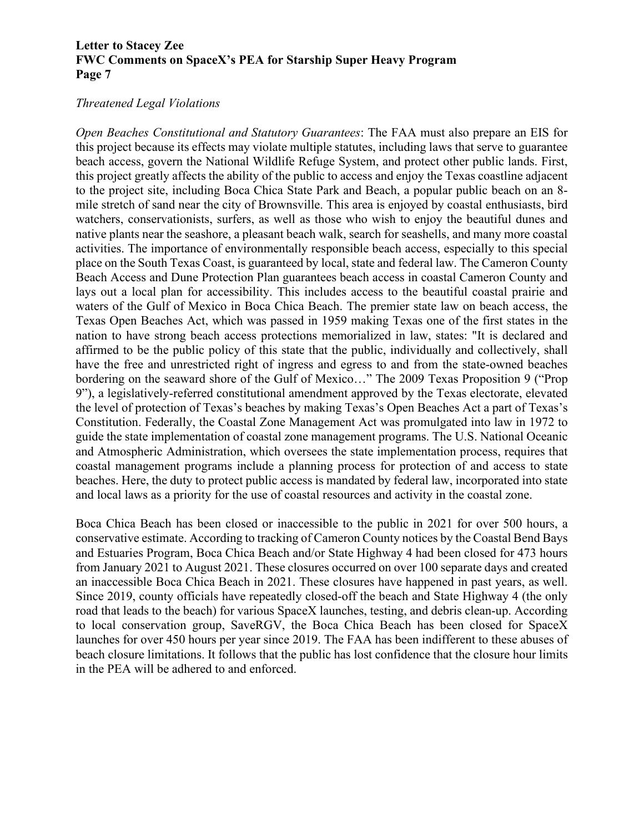#### *Threatened Legal Violations*

*Open Beaches Constitutional and Statutory Guarantees*: The FAA must also prepare an EIS for this project because its effects may violate multiple statutes, including laws that serve to guarantee beach access, govern the National Wildlife Refuge System, and protect other public lands. First, this project greatly affects the ability of the public to access and enjoy the Texas coastline adjacent to the project site, including Boca Chica State Park and Beach, a popular public beach on an 8 mile stretch of sand near the city of Brownsville. This area is enjoyed by coastal enthusiasts, bird watchers, conservationists, surfers, as well as those who wish to enjoy the beautiful dunes and native plants near the seashore, a pleasant beach walk, search for seashells, and many more coastal activities. The importance of environmentally responsible beach access, especially to this special place on the South Texas Coast, is guaranteed by local, state and federal law. The Cameron County Beach Access and Dune Protection Plan guarantees beach access in coastal Cameron County and lays out a local plan for accessibility. This includes access to the beautiful coastal prairie and waters of the Gulf of Mexico in Boca Chica Beach. The premier state law on beach access, the Texas Open Beaches Act, which was passed in 1959 making Texas one of the first states in the nation to have strong beach access protections memorialized in law, states: "It is declared and affirmed to be the public policy of this state that the public, individually and collectively, shall have the free and unrestricted right of ingress and egress to and from the state-owned beaches bordering on the seaward shore of the Gulf of Mexico…" The 2009 Texas Proposition 9 ("Prop 9"), a legislatively-referred constitutional amendment approved by the Texas electorate, elevated the level of protection of Texas's beaches by making Texas's Open Beaches Act a part of Texas's Constitution. Federally, the Coastal Zone Management Act was promulgated into law in 1972 to guide the state implementation of coastal zone management programs. The U.S. National Oceanic and Atmospheric Administration, which oversees the state implementation process, requires that coastal management programs include a planning process for protection of and access to state beaches. Here, the duty to protect public access is mandated by federal law, incorporated into state and local laws as a priority for the use of coastal resources and activity in the coastal zone.

Boca Chica Beach has been closed or inaccessible to the public in 2021 for over 500 hours, a conservative estimate. According to tracking of Cameron County notices by the Coastal Bend Bays and Estuaries Program, Boca Chica Beach and/or State Highway 4 had been closed for 473 hours from January 2021 to August 2021. These closures occurred on over 100 separate days and created an inaccessible Boca Chica Beach in 2021. These closures have happened in past years, as well. Since 2019, county officials have repeatedly closed-off the beach and State Highway 4 (the only road that leads to the beach) for various SpaceX launches, testing, and debris clean-up. According to local conservation group, SaveRGV, the Boca Chica Beach has been closed for SpaceX launches for over 450 hours per year since 2019. The FAA has been indifferent to these abuses of beach closure limitations. It follows that the public has lost confidence that the closure hour limits in the PEA will be adhered to and enforced.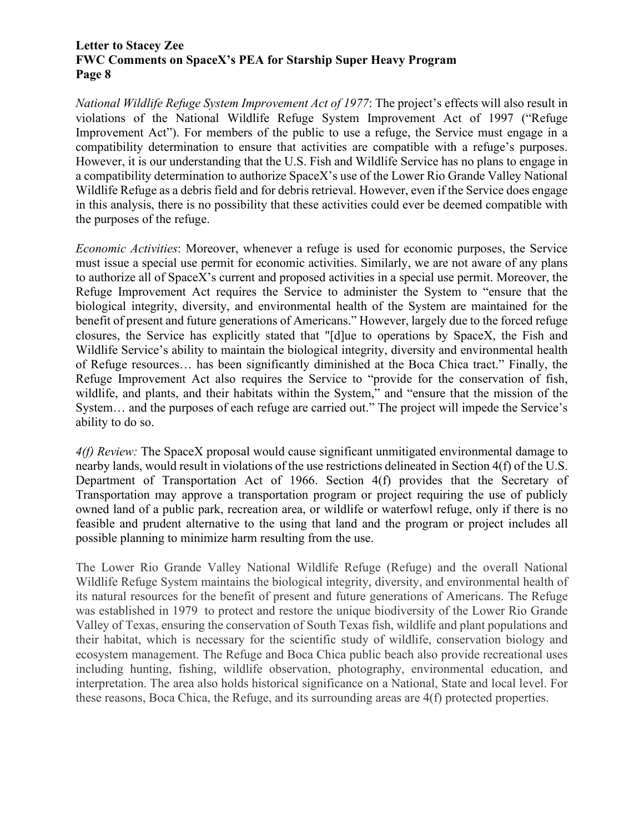*National Wildlife Refuge System Improvement Act of 1977*: The project's effects will also result in violations of the National Wildlife Refuge System Improvement Act of 1997 ("Refuge Improvement Act"). For members of the public to use a refuge, the Service must engage in a compatibility determination to ensure that activities are compatible with a refuge's purposes. However, it is our understanding that the U.S. Fish and Wildlife Service has no plans to engage in a compatibility determination to authorize SpaceX's use of the Lower Rio Grande Valley National Wildlife Refuge as a debris field and for debris retrieval. However, even if the Service does engage in this analysis, there is no possibility that these activities could ever be deemed compatible with the purposes of the refuge.

*Economic Activities*: Moreover, whenever a refuge is used for economic purposes, the Service must issue a special use permit for economic activities. Similarly, we are not aware of any plans to authorize all of SpaceX's current and proposed activities in a special use permit. Moreover, the Refuge Improvement Act requires the Service to administer the System to "ensure that the biological integrity, diversity, and environmental health of the System are maintained for the benefit of present and future generations of Americans." However, largely due to the forced refuge closures, the Service has explicitly stated that "[d]ue to operations by SpaceX, the Fish and Wildlife Service's ability to maintain the biological integrity, diversity and environmental health of Refuge resources… has been significantly diminished at the Boca Chica tract." Finally, the Refuge Improvement Act also requires the Service to "provide for the conservation of fish, wildlife, and plants, and their habitats within the System," and "ensure that the mission of the System… and the purposes of each refuge are carried out." The project will impede the Service's ability to do so.

*4(f) Review:* The SpaceX proposal would cause significant unmitigated environmental damage to nearby lands, would result in violations of the use restrictions delineated in Section 4(f) of the U.S. Department of Transportation Act of 1966. Section 4(f) provides that the Secretary of Transportation may approve a transportation program or project requiring the use of publicly owned land of a public park, recreation area, or wildlife or waterfowl refuge, only if there is no feasible and prudent alternative to the using that land and the program or project includes all possible planning to minimize harm resulting from the use.

The Lower Rio Grande Valley National Wildlife Refuge (Refuge) and the overall National Wildlife Refuge System maintains the biological integrity, diversity, and environmental health of its natural resources for the benefit of present and future generations of Americans. The Refuge was established in 1979 to protect and restore the unique biodiversity of the Lower Rio Grande Valley of Texas, ensuring the conservation of South Texas fish, wildlife and plant populations and their habitat, which is necessary for the scientific study of wildlife, conservation biology and ecosystem management. The Refuge and Boca Chica public beach also provide recreational uses including hunting, fishing, wildlife observation, photography, environmental education, and interpretation. The area also holds historical significance on a National, State and local level. For these reasons, Boca Chica, the Refuge, and its surrounding areas are 4(f) protected properties.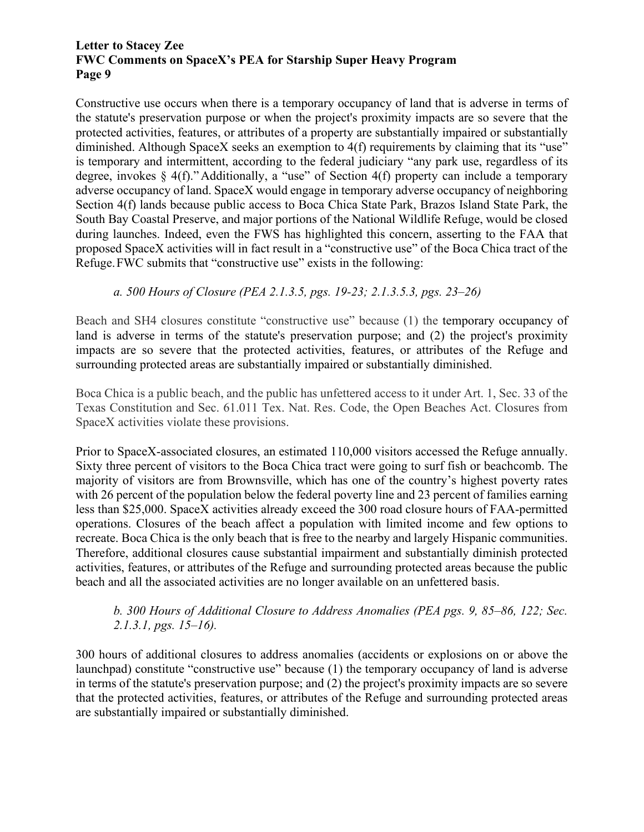Constructive use occurs when there is a temporary occupancy of land that is adverse in terms of the statute's preservation purpose or when the project's proximity impacts are so severe that the protected activities, features, or attributes of a property are substantially impaired or substantially diminished. Although SpaceX seeks an exemption to 4(f) requirements by claiming that its "use" is temporary and intermittent, according to the federal judiciary "any park use, regardless of its degree, invokes § 4(f)."Additionally, a "use" of Section 4(f) property can include a temporary adverse occupancy of land. SpaceX would engage in temporary adverse occupancy of neighboring Section 4(f) lands because public access to Boca Chica State Park, Brazos Island State Park, the South Bay Coastal Preserve, and major portions of the National Wildlife Refuge, would be closed during launches. Indeed, even the FWS has highlighted this concern, asserting to the FAA that proposed SpaceX activities will in fact result in a "constructive use" of the Boca Chica tract of the Refuge.FWC submits that "constructive use" exists in the following:

*a. 500 Hours of Closure (PEA 2.1.3.5, pgs. 19-23; 2.1.3.5.3, pgs. 23–26)*

Beach and SH4 closures constitute "constructive use" because (1) the temporary occupancy of land is adverse in terms of the statute's preservation purpose; and (2) the project's proximity impacts are so severe that the protected activities, features, or attributes of the Refuge and surrounding protected areas are substantially impaired or substantially diminished.

Boca Chica is a public beach, and the public has unfettered access to it under Art. 1, Sec. 33 of the Texas Constitution and Sec. 61.011 Tex. Nat. Res. Code, the Open Beaches Act. Closures from SpaceX activities violate these provisions.

Prior to SpaceX-associated closures, an estimated 110,000 visitors accessed the Refuge annually. Sixty three percent of visitors to the Boca Chica tract were going to surf fish or beachcomb. The majority of visitors are from Brownsville, which has one of the country's highest poverty rates with 26 percent of the population below the federal poverty line and 23 percent of families earning less than \$25,000. SpaceX activities already exceed the 300 road closure hours of FAA-permitted operations. Closures of the beach affect a population with limited income and few options to recreate. Boca Chica is the only beach that is free to the nearby and largely Hispanic communities. Therefore, additional closures cause substantial impairment and substantially diminish protected activities, features, or attributes of the Refuge and surrounding protected areas because the public beach and all the associated activities are no longer available on an unfettered basis.

## *b. 300 Hours of Additional Closure to Address Anomalies (PEA pgs. 9, 85–86, 122; Sec. 2.1.3.1, pgs. 15–16).*

300 hours of additional closures to address anomalies (accidents or explosions on or above the launchpad) constitute "constructive use" because (1) the temporary occupancy of land is adverse in terms of the statute's preservation purpose; and (2) the project's proximity impacts are so severe that the protected activities, features, or attributes of the Refuge and surrounding protected areas are substantially impaired or substantially diminished.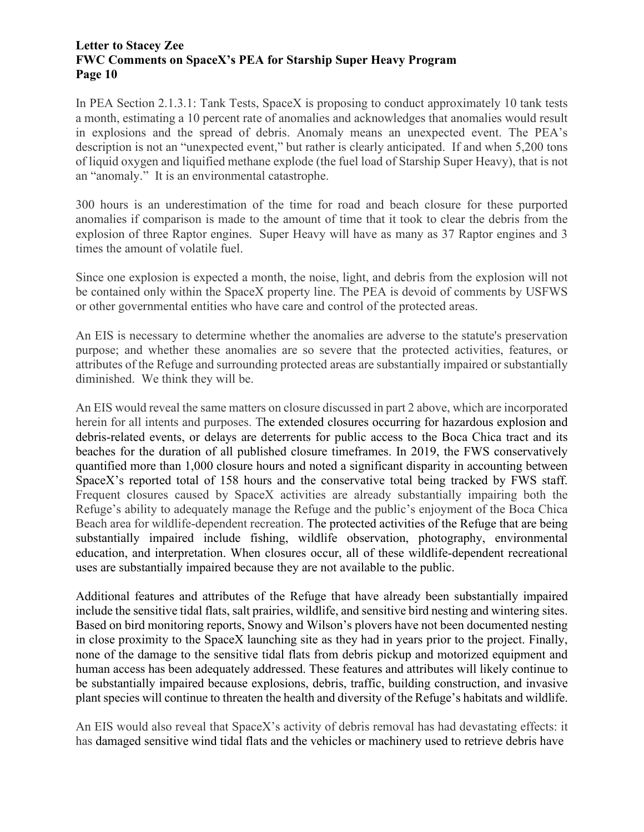In PEA Section 2.1.3.1: Tank Tests, SpaceX is proposing to conduct approximately 10 tank tests a month, estimating a 10 percent rate of anomalies and acknowledges that anomalies would result in explosions and the spread of debris. Anomaly means an unexpected event. The PEA's description is not an "unexpected event," but rather is clearly anticipated. If and when 5,200 tons of liquid oxygen and liquified methane explode (the fuel load of Starship Super Heavy), that is not an "anomaly." It is an environmental catastrophe.

300 hours is an underestimation of the time for road and beach closure for these purported anomalies if comparison is made to the amount of time that it took to clear the debris from the explosion of three Raptor engines. Super Heavy will have as many as 37 Raptor engines and 3 times the amount of volatile fuel.

Since one explosion is expected a month, the noise, light, and debris from the explosion will not be contained only within the SpaceX property line. The PEA is devoid of comments by USFWS or other governmental entities who have care and control of the protected areas.

An EIS is necessary to determine whether the anomalies are adverse to the statute's preservation purpose; and whether these anomalies are so severe that the protected activities, features, or attributes of the Refuge and surrounding protected areas are substantially impaired or substantially diminished. We think they will be.

An EIS would reveal the same matters on closure discussed in part 2 above, which are incorporated herein for all intents and purposes. The extended closures occurring for hazardous explosion and debris-related events, or delays are deterrents for public access to the Boca Chica tract and its beaches for the duration of all published closure timeframes. In 2019, the FWS conservatively quantified more than 1,000 closure hours and noted a significant disparity in accounting between SpaceX's reported total of 158 hours and the conservative total being tracked by FWS staff. Frequent closures caused by SpaceX activities are already substantially impairing both the Refuge's ability to adequately manage the Refuge and the public's enjoyment of the Boca Chica Beach area for wildlife-dependent recreation. The protected activities of the Refuge that are being substantially impaired include fishing, wildlife observation, photography, environmental education, and interpretation. When closures occur, all of these wildlife-dependent recreational uses are substantially impaired because they are not available to the public.

Additional features and attributes of the Refuge that have already been substantially impaired include the sensitive tidal flats, salt prairies, wildlife, and sensitive bird nesting and wintering sites. Based on bird monitoring reports, Snowy and Wilson's plovers have not been documented nesting in close proximity to the SpaceX launching site as they had in years prior to the project. Finally, none of the damage to the sensitive tidal flats from debris pickup and motorized equipment and human access has been adequately addressed. These features and attributes will likely continue to be substantially impaired because explosions, debris, traffic, building construction, and invasive plant species will continue to threaten the health and diversity of the Refuge's habitats and wildlife.

An EIS would also reveal that SpaceX's activity of debris removal has had devastating effects: it has damaged sensitive wind tidal flats and the vehicles or machinery used to retrieve debris have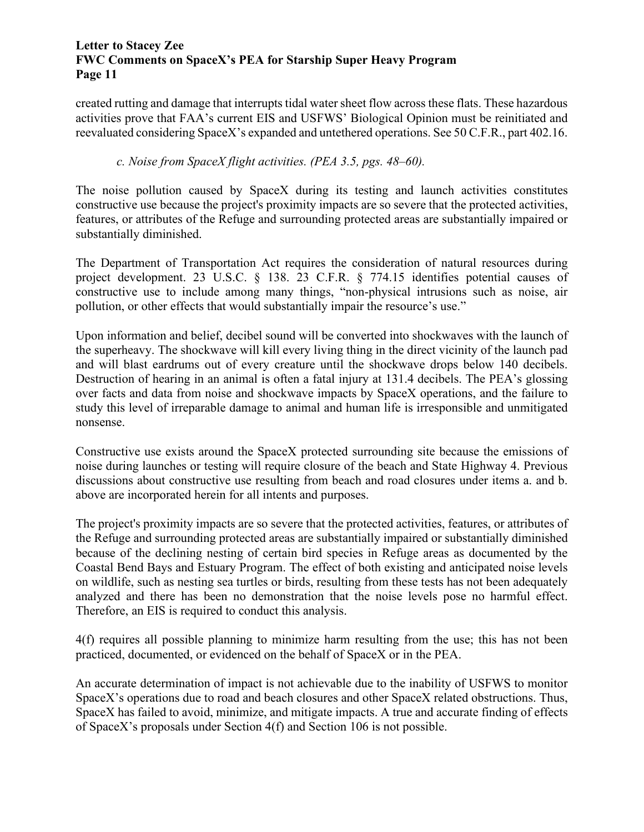created rutting and damage that interrupts tidal water sheet flow across these flats. These hazardous activities prove that FAA's current EIS and USFWS' Biological Opinion must be reinitiated and reevaluated considering SpaceX's expanded and untethered operations. See 50 C.F.R., part 402.16.

## *c. Noise from SpaceX flight activities. (PEA 3.5, pgs. 48–60).*

The noise pollution caused by SpaceX during its testing and launch activities constitutes constructive use because the project's proximity impacts are so severe that the protected activities, features, or attributes of the Refuge and surrounding protected areas are substantially impaired or substantially diminished.

The Department of Transportation Act requires the consideration of natural resources during project development. 23 U.S.C. § 138. 23 C.F.R. § 774.15 identifies potential causes of constructive use to include among many things, "non-physical intrusions such as noise, air pollution, or other effects that would substantially impair the resource's use."

Upon information and belief, decibel sound will be converted into shockwaves with the launch of the superheavy. The shockwave will kill every living thing in the direct vicinity of the launch pad and will blast eardrums out of every creature until the shockwave drops below 140 decibels. Destruction of hearing in an animal is often a fatal injury at 131.4 decibels. The PEA's glossing over facts and data from noise and shockwave impacts by SpaceX operations, and the failure to study this level of irreparable damage to animal and human life is irresponsible and unmitigated nonsense.

Constructive use exists around the SpaceX protected surrounding site because the emissions of noise during launches or testing will require closure of the beach and State Highway 4. Previous discussions about constructive use resulting from beach and road closures under items a. and b. above are incorporated herein for all intents and purposes.

The project's proximity impacts are so severe that the protected activities, features, or attributes of the Refuge and surrounding protected areas are substantially impaired or substantially diminished because of the declining nesting of certain bird species in Refuge areas as documented by the Coastal Bend Bays and Estuary Program. The effect of both existing and anticipated noise levels on wildlife, such as nesting sea turtles or birds, resulting from these tests has not been adequately analyzed and there has been no demonstration that the noise levels pose no harmful effect. Therefore, an EIS is required to conduct this analysis.

4(f) requires all possible planning to minimize harm resulting from the use; this has not been practiced, documented, or evidenced on the behalf of SpaceX or in the PEA.

An accurate determination of impact is not achievable due to the inability of USFWS to monitor SpaceX's operations due to road and beach closures and other SpaceX related obstructions. Thus, SpaceX has failed to avoid, minimize, and mitigate impacts. A true and accurate finding of effects of SpaceX's proposals under Section 4(f) and Section 106 is not possible.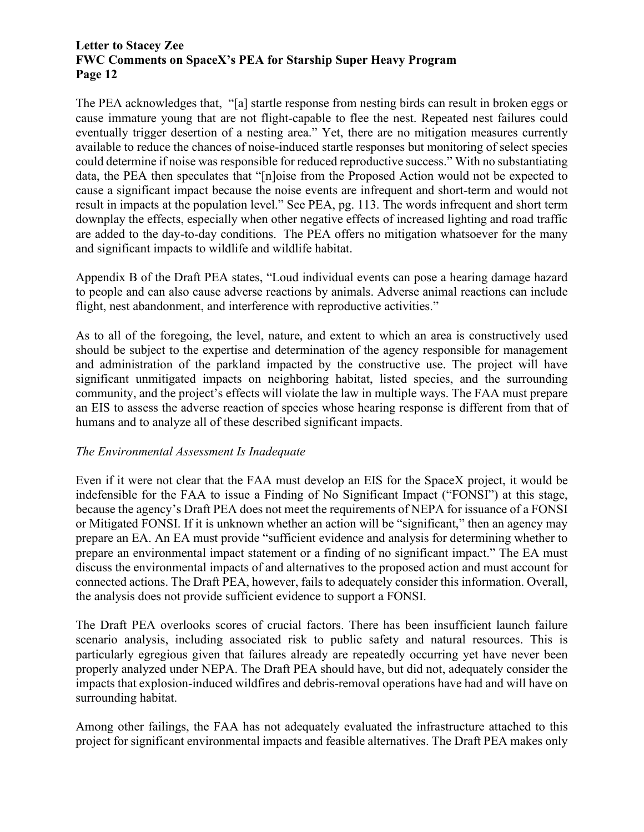The PEA acknowledges that, "[a] startle response from nesting birds can result in broken eggs or cause immature young that are not flight-capable to flee the nest. Repeated nest failures could eventually trigger desertion of a nesting area." Yet, there are no mitigation measures currently available to reduce the chances of noise-induced startle responses but monitoring of select species could determine if noise was responsible for reduced reproductive success." With no substantiating data, the PEA then speculates that "[n]oise from the Proposed Action would not be expected to cause a significant impact because the noise events are infrequent and short-term and would not result in impacts at the population level." See PEA, pg. 113. The words infrequent and short term downplay the effects, especially when other negative effects of increased lighting and road traffic are added to the day-to-day conditions. The PEA offers no mitigation whatsoever for the many and significant impacts to wildlife and wildlife habitat.

Appendix B of the Draft PEA states, "Loud individual events can pose a hearing damage hazard to people and can also cause adverse reactions by animals. Adverse animal reactions can include flight, nest abandonment, and interference with reproductive activities."

As to all of the foregoing, the level, nature, and extent to which an area is constructively used should be subject to the expertise and determination of the agency responsible for management and administration of the parkland impacted by the constructive use. The project will have significant unmitigated impacts on neighboring habitat, listed species, and the surrounding community, and the project's effects will violate the law in multiple ways. The FAA must prepare an EIS to assess the adverse reaction of species whose hearing response is different from that of humans and to analyze all of these described significant impacts.

## *The Environmental Assessment Is Inadequate*

Even if it were not clear that the FAA must develop an EIS for the SpaceX project, it would be indefensible for the FAA to issue a Finding of No Significant Impact ("FONSI") at this stage, because the agency's Draft PEA does not meet the requirements of NEPA for issuance of a FONSI or Mitigated FONSI. If it is unknown whether an action will be "significant," then an agency may prepare an EA. An EA must provide "sufficient evidence and analysis for determining whether to prepare an environmental impact statement or a finding of no significant impact." The EA must discuss the environmental impacts of and alternatives to the proposed action and must account for connected actions. The Draft PEA, however, fails to adequately consider this information. Overall, the analysis does not provide sufficient evidence to support a FONSI.

The Draft PEA overlooks scores of crucial factors. There has been insufficient launch failure scenario analysis, including associated risk to public safety and natural resources. This is particularly egregious given that failures already are repeatedly occurring yet have never been properly analyzed under NEPA. The Draft PEA should have, but did not, adequately consider the impacts that explosion-induced wildfires and debris-removal operations have had and will have on surrounding habitat.

Among other failings, the FAA has not adequately evaluated the infrastructure attached to this project for significant environmental impacts and feasible alternatives. The Draft PEA makes only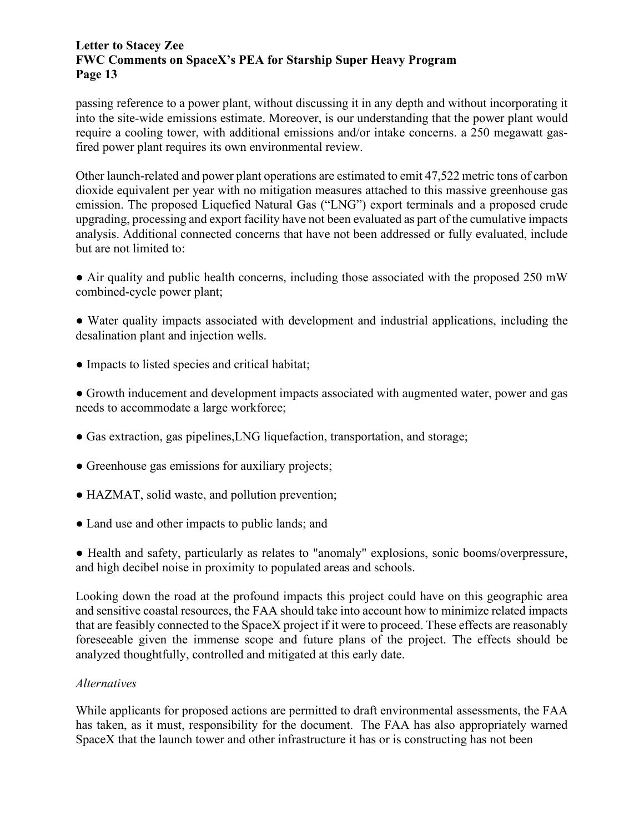passing reference to a power plant, without discussing it in any depth and without incorporating it into the site-wide emissions estimate. Moreover, is our understanding that the power plant would require a cooling tower, with additional emissions and/or intake concerns. a 250 megawatt gasfired power plant requires its own environmental review.

Other launch-related and power plant operations are estimated to emit 47,522 metric tons of carbon dioxide equivalent per year with no mitigation measures attached to this massive greenhouse gas emission. The proposed Liquefied Natural Gas ("LNG") export terminals and a proposed crude upgrading, processing and export facility have not been evaluated as part of the cumulative impacts analysis. Additional connected concerns that have not been addressed or fully evaluated, include but are not limited to:

• Air quality and public health concerns, including those associated with the proposed 250 mW combined-cycle power plant;

● Water quality impacts associated with development and industrial applications, including the desalination plant and injection wells.

● Impacts to listed species and critical habitat;

● Growth inducement and development impacts associated with augmented water, power and gas needs to accommodate a large workforce;

- Gas extraction, gas pipelines, LNG liquefaction, transportation, and storage;
- Greenhouse gas emissions for auxiliary projects;
- HAZMAT, solid waste, and pollution prevention;
- Land use and other impacts to public lands; and

● Health and safety, particularly as relates to "anomaly" explosions, sonic booms/overpressure, and high decibel noise in proximity to populated areas and schools.

Looking down the road at the profound impacts this project could have on this geographic area and sensitive coastal resources, the FAA should take into account how to minimize related impacts that are feasibly connected to the SpaceX project if it were to proceed. These effects are reasonably foreseeable given the immense scope and future plans of the project. The effects should be analyzed thoughtfully, controlled and mitigated at this early date.

#### *Alternatives*

While applicants for proposed actions are permitted to draft environmental assessments, the FAA has taken, as it must, responsibility for the document. The FAA has also appropriately warned SpaceX that the launch tower and other infrastructure it has or is constructing has not been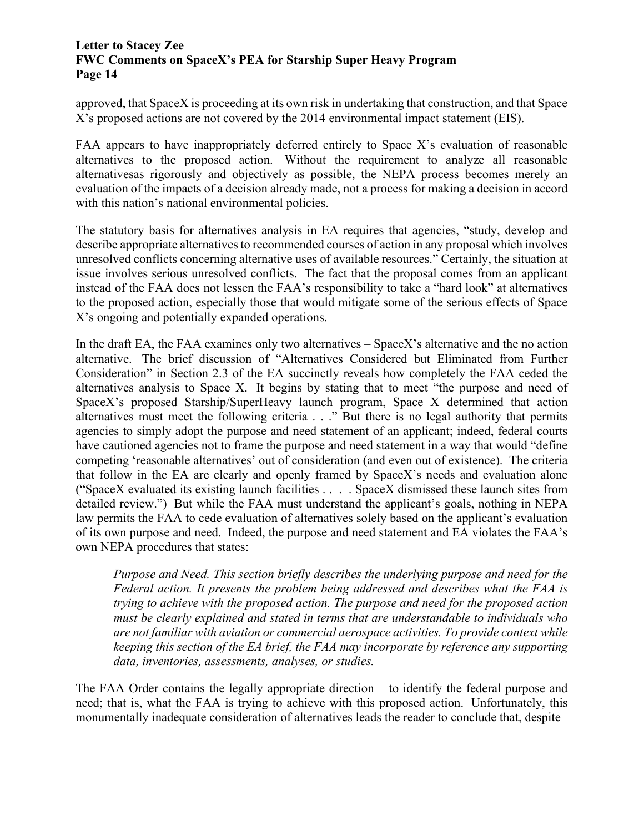approved, that SpaceX is proceeding at its own risk in undertaking that construction, and that Space X's proposed actions are not covered by the 2014 environmental impact statement (EIS).

FAA appears to have inappropriately deferred entirely to Space X's evaluation of reasonable alternatives to the proposed action. Without the requirement to analyze all reasonable alternativesas rigorously and objectively as possible, the NEPA process becomes merely an evaluation of the impacts of a decision already made, not a process for making a decision in accord with this nation's national environmental policies.

The statutory basis for alternatives analysis in EA requires that agencies, "study, develop and describe appropriate alternatives to recommended courses of action in any proposal which involves unresolved conflicts concerning alternative uses of available resources." Certainly, the situation at issue involves serious unresolved conflicts. The fact that the proposal comes from an applicant instead of the FAA does not lessen the FAA's responsibility to take a "hard look" at alternatives to the proposed action, especially those that would mitigate some of the serious effects of Space X's ongoing and potentially expanded operations.

In the draft EA, the FAA examines only two alternatives – SpaceX's alternative and the no action alternative. The brief discussion of "Alternatives Considered but Eliminated from Further Consideration" in Section 2.3 of the EA succinctly reveals how completely the FAA ceded the alternatives analysis to Space X. It begins by stating that to meet "the purpose and need of SpaceX's proposed Starship/SuperHeavy launch program, Space X determined that action alternatives must meet the following criteria . . ." But there is no legal authority that permits agencies to simply adopt the purpose and need statement of an applicant; indeed, federal courts have cautioned agencies not to frame the purpose and need statement in a way that would "define competing 'reasonable alternatives' out of consideration (and even out of existence). The criteria that follow in the EA are clearly and openly framed by SpaceX's needs and evaluation alone ("SpaceX evaluated its existing launch facilities . . . . SpaceX dismissed these launch sites from detailed review.") But while the FAA must understand the applicant's goals, nothing in NEPA law permits the FAA to cede evaluation of alternatives solely based on the applicant's evaluation of its own purpose and need. Indeed, the purpose and need statement and EA violates the FAA's own NEPA procedures that states:

*Purpose and Need. This section briefly describes the underlying purpose and need for the Federal action. It presents the problem being addressed and describes what the FAA is trying to achieve with the proposed action. The purpose and need for the proposed action must be clearly explained and stated in terms that are understandable to individuals who are not familiar with aviation or commercial aerospace activities. To provide context while keeping this section of the EA brief, the FAA may incorporate by reference any supporting data, inventories, assessments, analyses, or studies.*

The FAA Order contains the legally appropriate direction – to identify the federal purpose and need; that is, what the FAA is trying to achieve with this proposed action. Unfortunately, this monumentally inadequate consideration of alternatives leads the reader to conclude that, despite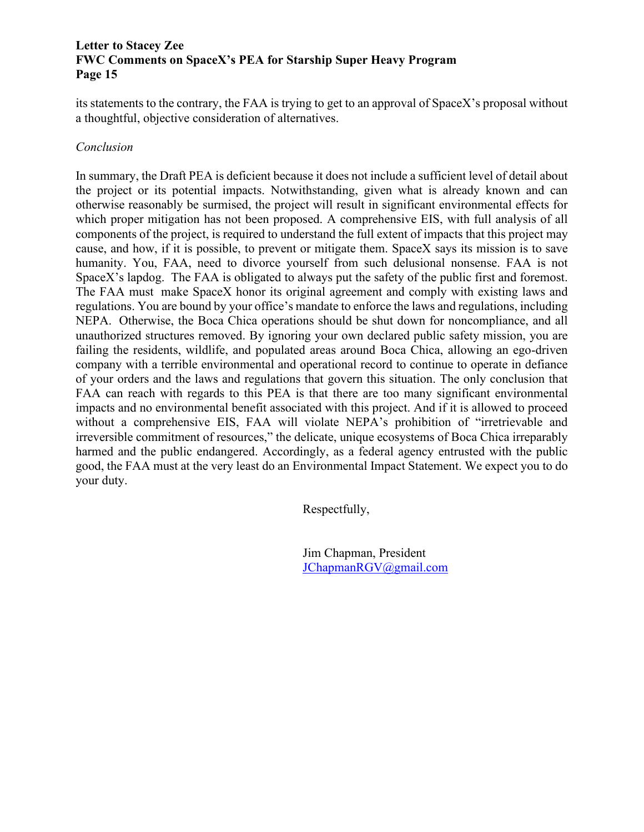its statements to the contrary, the FAA is trying to get to an approval of SpaceX's proposal without a thoughtful, objective consideration of alternatives.

#### *Conclusion*

In summary, the Draft PEA is deficient because it does not include a sufficient level of detail about the project or its potential impacts. Notwithstanding, given what is already known and can otherwise reasonably be surmised, the project will result in significant environmental effects for which proper mitigation has not been proposed. A comprehensive EIS, with full analysis of all components of the project, is required to understand the full extent of impacts that this project may cause, and how, if it is possible, to prevent or mitigate them. SpaceX says its mission is to save humanity. You, FAA, need to divorce yourself from such delusional nonsense. FAA is not SpaceX's lapdog. The FAA is obligated to always put the safety of the public first and foremost. The FAA must make SpaceX honor its original agreement and comply with existing laws and regulations. You are bound by your office's mandate to enforce the laws and regulations, including NEPA. Otherwise, the Boca Chica operations should be shut down for noncompliance, and all unauthorized structures removed. By ignoring your own declared public safety mission, you are failing the residents, wildlife, and populated areas around Boca Chica, allowing an ego-driven company with a terrible environmental and operational record to continue to operate in defiance of your orders and the laws and regulations that govern this situation. The only conclusion that FAA can reach with regards to this PEA is that there are too many significant environmental impacts and no environmental benefit associated with this project. And if it is allowed to proceed without a comprehensive EIS, FAA will violate NEPA's prohibition of "irretrievable and irreversible commitment of resources," the delicate, unique ecosystems of Boca Chica irreparably harmed and the public endangered. Accordingly, as a federal agency entrusted with the public good, the FAA must at the very least do an Environmental Impact Statement. We expect you to do your duty.

Respectfully,

Jim Chapman, President [JChapmanRGV@gmail.com](mailto:JChapmanRGV@gmail.com)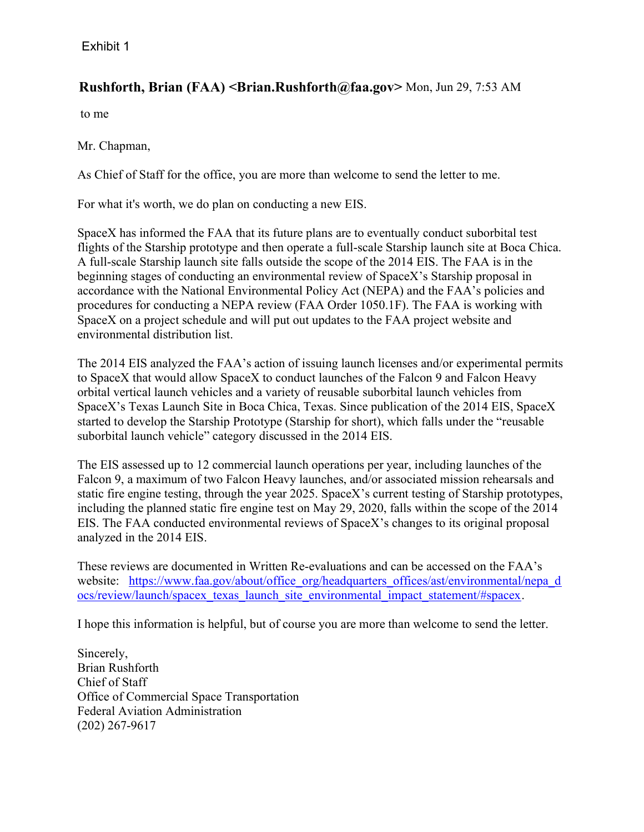# **Rushforth, Brian (FAA) < Brian.Rushforth@faa.gov>** Mon, Jun 29, 7:53 AM

to me

Mr. Chapman,

As Chief of Staff for the office, you are more than welcome to send the letter to me.

For what it's worth, we do plan on conducting a new EIS.

SpaceX has informed the FAA that its future plans are to eventually conduct suborbital test flights of the Starship prototype and then operate a full-scale Starship launch site at Boca Chica. A full-scale Starship launch site falls outside the scope of the 2014 EIS. The FAA is in the beginning stages of conducting an environmental review of SpaceX's Starship proposal in accordance with the National Environmental Policy Act (NEPA) and the FAA's policies and procedures for conducting a NEPA review (FAA Order 1050.1F). The FAA is working with SpaceX on a project schedule and will put out updates to the FAA project website and environmental distribution list.

The 2014 EIS analyzed the FAA's action of issuing launch licenses and/or experimental permits to SpaceX that would allow SpaceX to conduct launches of the Falcon 9 and Falcon Heavy orbital vertical launch vehicles and a variety of reusable suborbital launch vehicles from SpaceX's Texas Launch Site in Boca Chica, Texas. Since publication of the 2014 EIS, SpaceX started to develop the Starship Prototype (Starship for short), which falls under the "reusable suborbital launch vehicle" category discussed in the 2014 EIS.

The EIS assessed up to 12 commercial launch operations per year, including launches of the Falcon 9, a maximum of two Falcon Heavy launches, and/or associated mission rehearsals and static fire engine testing, through the year 2025. SpaceX's current testing of Starship prototypes, including the planned static fire engine test on May 29, 2020, falls within the scope of the 2014 EIS. The FAA conducted environmental reviews of SpaceX's changes to its original proposal analyzed in the 2014 EIS.

These reviews are documented in Written Re-evaluations and can be accessed on the FAA's website: https://www.faa.gov/about/office\_org/headquarters\_offices/ast/environmental/nepa\_d ocs/review/launch/spacex\_texas\_launch\_site\_environmental\_impact\_statement/#spacex.

I hope this information is helpful, but of course you are more than welcome to send the letter.

Sincerely, Brian Rushforth Chief of Staff Office of Commercial Space Transportation Federal Aviation Administration (202) 267-9617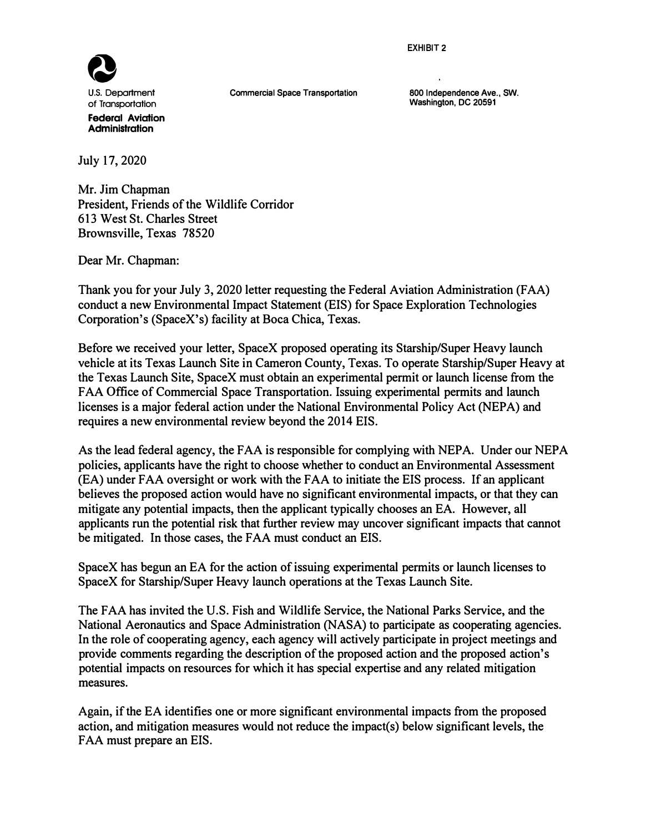**EXHIBIT 2** 



**Commercial Space Transportation** 

**800 Independence Ave., SW. Washington, DC 20591** 

July 17, 2020

Mr. Jim Chapman President, Friends of the Wildlife Corridor 613 West St. Charles Street Brownsville, Texas 78520

Dear Mr. Chapman:

Thank you for your July 3, 2020 letter requesting the Federal Aviation Administration (FAA) conduct a new Environmental Impact Statement (EIS) for Space Exploration Technologies Corporation's (SpaceX's) facility at Boca Chica, Texas.

Before we received your letter, SpaceX proposed operating its Starship/Super Heavy launch vehicle at its Texas Launch Site in Cameron County, Texas. To operate Starship/Super Heavy at the Texas Launch Site, SpaceX must obtain an experimental permit or launch license from the FAA Office of Commercial Space Transportation. Issuing experimental permits and launch licenses is a major federal action under the National Environmental Policy Act (NEPA) and requires a new environmental review beyond the 2014 EIS.

As the lead federal agency, the FAA is responsible for complying with NEPA. Under our NEPA policies, applicants have the right to choose whether to conduct an Environmental Assessment (EA) under FAA oversight or work with the FAA to initiate the EIS process. If an applicant believes the proposed action would have no significant environmental impacts, or that they can mitigate any potential impacts, then the applicant typically chooses an EA. However, all applicants run the potential risk that further review may uncover significant impacts that cannot be mitigated. In those cases, the FAA must conduct an EIS.

SpaceX has begun an EA for the action of issuing experimental permits or launch licenses to SpaceX for Starship/Super Heavy launch operations at the Texas Launch Site.

The FAA has invited the U.S. Fish and Wildlife Service, the National Parks Service, and the National Aeronautics and Space Administration (NASA) to participate as cooperating agencies. In the role of cooperating agency, each agency will actively participate in project meetings and provide comments regarding the description of the proposed action and the proposed action's potential impacts on resources for which it has special expertise and any related mitigation measures.

Again, if the EA identifies one or more significant environmental impacts from the proposed action, and mitigation measures would not reduce the impact(s) below significant levels, the FAA must prepare an EIS.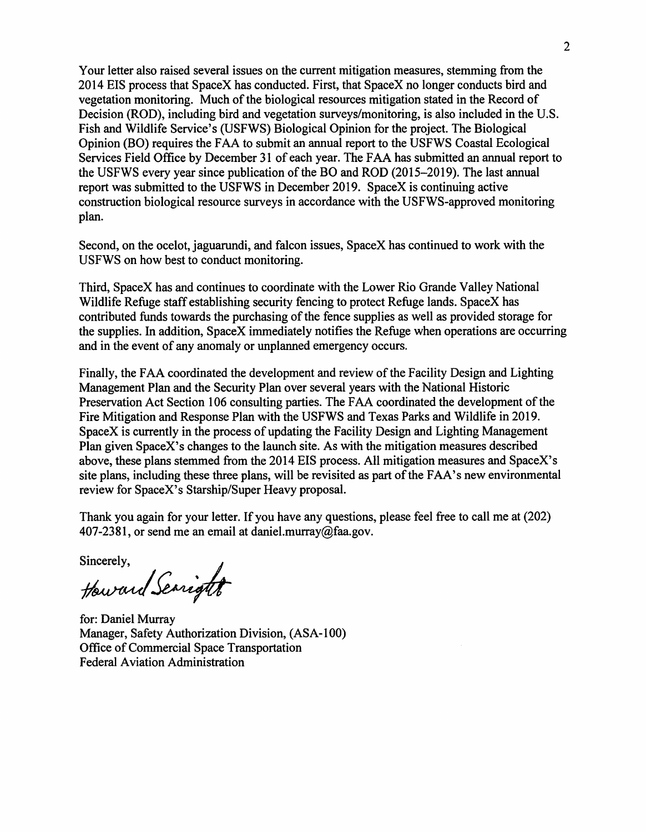Your letter also raised several issues on the current mitigation measures, stemming from the 2014 EIS process that SpaceX has conducted. First, that SpaceX no longer conducts bird and vegetation monitoring. Much of the biological resources mitigation stated in the Record of Decision (ROD), including bird and vegetation surveys/monitoring, is also included in the U.S. Fish and Wildlife Service's (USFWS) Biological Opinion for the project. The Biological Opinion (BO) requires the FAA to submit an annual report to the USFWS Coastal Ecological Services Field Office by December 31 of each year. The FAA has submitted an annual report to the USFWS every year since publication of the BO and ROD (2015-2019). The last annual report was submitted to the USFWS in December 2019. SpaceX is continuing active construction biological resource surveys in accordance with the USFWS-approved monitoring plan.

Second, on the ocelot, jaguarundi, and falcon issues, SpaceX has continued to work with the USFWS on how best to conduct monitoring.

Third, SpaceX has and continues to coordinate with the Lower Rio Grande Valley National Wildlife Refuge staff establishing security fencing to protect Refuge lands. SpaceX has contributed funds towards the purchasing of the fence supplies as well as provided storage for the supplies. In addition, SpaceX immediately notifies the Refuge when operations are occurring and in the event of any anomaly or unplanned emergency occurs.

Finally, the FAA coordinated the development and review of the Facility Design and Lighting Management Plan and the Security Plan over several years with the National Historic Preservation Act Section 106 consulting parties. The FAA coordinated the development of the Fire Mitigation and Response Plan with the USFWS and Texas Parks and Wildlife in 2019. SpaceX is currently in the process of updating the Facility Design and Lighting Management Plan given SpaceX's changes to the launch site. As with the mitigation measures described above, these plans stemmed from the 2014 EIS process. All mitigation measures and SpaceX's site plans, including these three plans, will be revisited as part of the FAA's new environmental review for SpaceX's Starship/Super Heavy proposal.

Thank you again for your letter. If you have any questions, please feel free to call me at (202) 407-2381, or send me an email at daniel.murray@faa.gov.

sincerely,<br>Howard Searight

for: Daniel Murray Manager, Safety Authorization Division, (ASA-100) Office of Commercial Space Transportation Federal Aviation Administration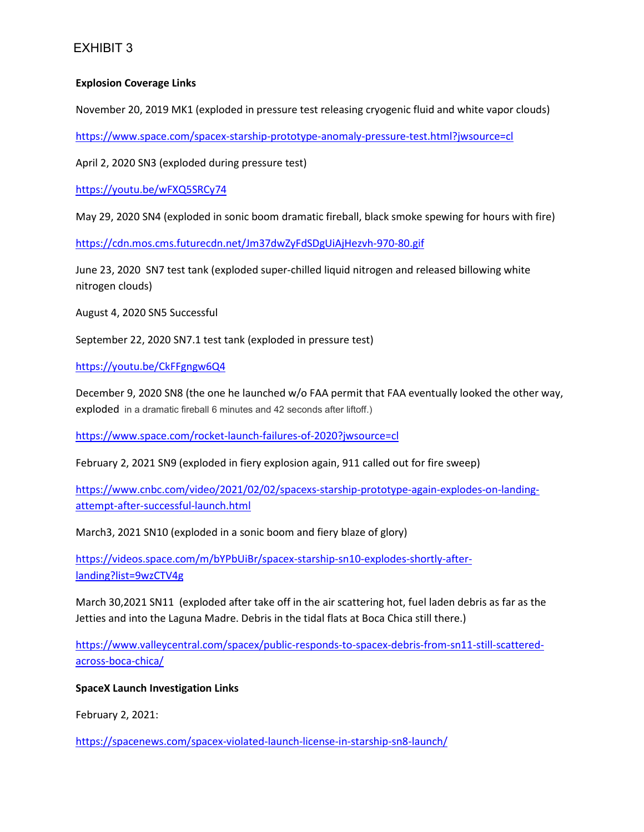# EXHIBIT 3

#### **Explosion Coverage Links**

November 20, 2019 MK1 (exploded in pressure test releasing cryogenic fluid and white vapor clouds)

<https://www.space.com/spacex-starship-prototype-anomaly-pressure-test.html?jwsource=cl>

April 2, 2020 SN3 (exploded during pressure test)

<https://youtu.be/wFXQ5SRCy74>

May 29, 2020 SN4 (exploded in sonic boom dramatic fireball, black smoke spewing for hours with fire)

<https://cdn.mos.cms.futurecdn.net/Jm37dwZyFdSDgUiAjHezvh-970-80.gif>

June 23, 2020 SN7 test tank (exploded super-chilled liquid nitrogen and released billowing white nitrogen clouds)

August 4, 2020 SN5 Successful

September 22, 2020 SN7.1 test tank (exploded in pressure test)

<https://youtu.be/CkFFgngw6Q4>

December 9, 2020 SN8 (the one he launched w/o FAA permit that FAA eventually looked the other way, exploded in a dramatic fireball 6 minutes and 42 seconds after liftoff.)

<https://www.space.com/rocket-launch-failures-of-2020?jwsource=cl>

February 2, 2021 SN9 (exploded in fiery explosion again, 911 called out for fire sweep)

[https://www.cnbc.com/video/2021/02/02/spacexs-starship-prototype-again-explodes-on-landing](https://www.cnbc.com/video/2021/02/02/spacexs-starship-prototype-again-explodes-on-landing-attempt-after-successful-launch.html)[attempt-after-successful-launch.html](https://www.cnbc.com/video/2021/02/02/spacexs-starship-prototype-again-explodes-on-landing-attempt-after-successful-launch.html)

March3, 2021 SN10 (exploded in a sonic boom and fiery blaze of glory)

[https://videos.space.com/m/bYPbUiBr/spacex-starship-sn10-explodes-shortly-after](https://videos.space.com/m/bYPbUiBr/spacex-starship-sn10-explodes-shortly-after-landing?list=9wzCTV4g)[landing?list=9wzCTV4g](https://videos.space.com/m/bYPbUiBr/spacex-starship-sn10-explodes-shortly-after-landing?list=9wzCTV4g)

March 30,2021 SN11 (exploded after take off in the air scattering hot, fuel laden debris as far as the Jetties and into the Laguna Madre. Debris in the tidal flats at Boca Chica still there.)

[https://www.valleycentral.com/spacex/public-responds-to-spacex-debris-from-sn11-still-scattered](https://www.valleycentral.com/spacex/public-responds-to-spacex-debris-from-sn11-still-scattered-across-boca-chica/)[across-boca-chica/](https://www.valleycentral.com/spacex/public-responds-to-spacex-debris-from-sn11-still-scattered-across-boca-chica/)

**SpaceX Launch Investigation Links**

February 2, 2021:

<https://spacenews.com/spacex-violated-launch-license-in-starship-sn8-launch/>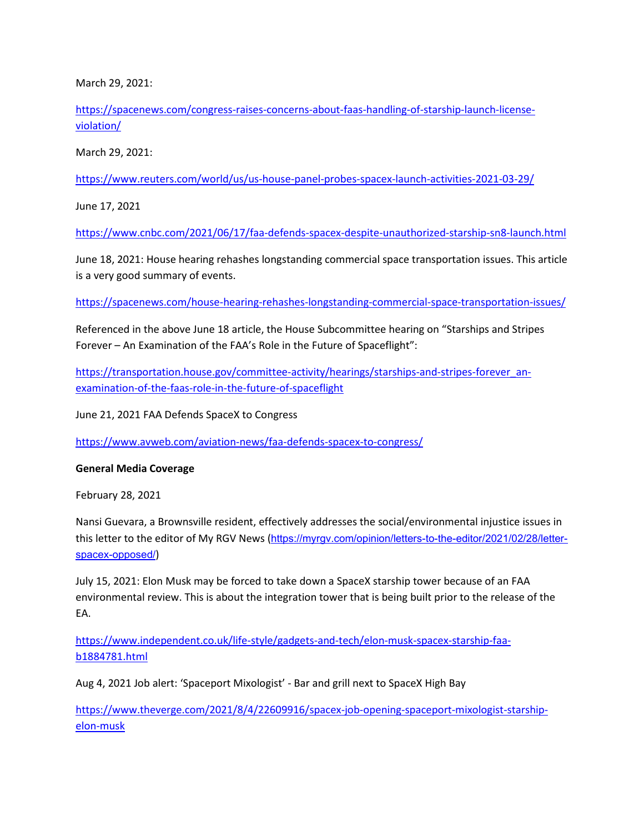March 29, 2021:

[https://spacenews.com/congress-raises-concerns-about-faas-handling-of-starship-launch-license](https://spacenews.com/congress-raises-concerns-about-faas-handling-of-starship-launch-license-violation/)[violation/](https://spacenews.com/congress-raises-concerns-about-faas-handling-of-starship-launch-license-violation/)

March 29, 2021:

<https://www.reuters.com/world/us/us-house-panel-probes-spacex-launch-activities-2021-03-29/>

June 17, 2021

<https://www.cnbc.com/2021/06/17/faa-defends-spacex-despite-unauthorized-starship-sn8-launch.html>

June 18, 2021: House hearing rehashes longstanding commercial space transportation issues. This article is a very good summary of events.

<https://spacenews.com/house-hearing-rehashes-longstanding-commercial-space-transportation-issues/>

Referenced in the above June 18 article, the House Subcommittee hearing on "Starships and Stripes Forever – An Examination of the FAA's Role in the Future of Spaceflight":

[https://transportation.house.gov/committee-activity/hearings/starships-and-stripes-forever\\_an](https://transportation.house.gov/committee-activity/hearings/starships-and-stripes-forever_an-examination-of-the-faas-role-in-the-future-of-spaceflight)[examination-of-the-faas-role-in-the-future-of-spaceflight](https://transportation.house.gov/committee-activity/hearings/starships-and-stripes-forever_an-examination-of-the-faas-role-in-the-future-of-spaceflight)

June 21, 2021 FAA Defends SpaceX to Congress

<https://www.avweb.com/aviation-news/faa-defends-spacex-to-congress/>

**General Media Coverage**

February 28, 2021

Nansi Guevara, a Brownsville resident, effectively addresses the social/environmental injustice issues in this letter to the editor of My RGV News ([https://myrgv.com/opinion/letters-to-the-editor/2021/02/28/letter](https://myrgv.com/opinion/letters-to-the-editor/2021/02/28/letter-spacex-opposed/)[spacex-opposed/](https://myrgv.com/opinion/letters-to-the-editor/2021/02/28/letter-spacex-opposed/))

July 15, 2021: Elon Musk may be forced to take down a SpaceX starship tower because of an FAA environmental review. This is about the integration tower that is being built prior to the release of the EA.

[https://www.independent.co.uk/life-style/gadgets-and-tech/elon-musk-spacex-starship-faa](https://www.independent.co.uk/life-style/gadgets-and-tech/elon-musk-spacex-starship-faa-b1884781.html)[b1884781.html](https://www.independent.co.uk/life-style/gadgets-and-tech/elon-musk-spacex-starship-faa-b1884781.html)

Aug 4, 2021 Job alert: 'Spaceport Mixologist' - Bar and grill next to SpaceX High Bay

[https://www.theverge.com/2021/8/4/22609916/spacex-job-opening-spaceport-mixologist-starship](https://www.theverge.com/2021/8/4/22609916/spacex-job-opening-spaceport-mixologist-starship-elon-musk)[elon-musk](https://www.theverge.com/2021/8/4/22609916/spacex-job-opening-spaceport-mixologist-starship-elon-musk)